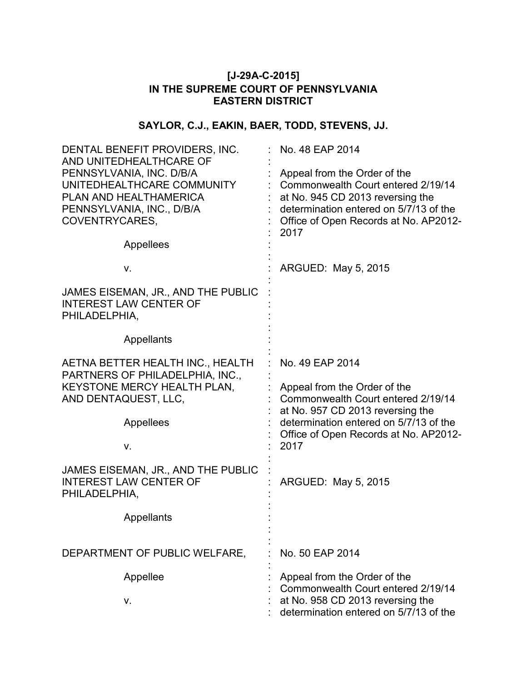## **[J-29A-C-2015] IN THE SUPREME COURT OF PENNSYLVANIA EASTERN DISTRICT**

# **SAYLOR, C.J., EAKIN, BAER, TODD, STEVENS, JJ.**

| DENTAL BENEFIT PROVIDERS, INC.<br>AND UNITEDHEALTHCARE OF                                                                                    | No. 48 EAP 2014                                                                                                                                                                                   |
|----------------------------------------------------------------------------------------------------------------------------------------------|---------------------------------------------------------------------------------------------------------------------------------------------------------------------------------------------------|
| PENNSYLVANIA, INC. D/B/A<br>UNITEDHEALTHCARE COMMUNITY<br>PLAN AND HEALTHAMERICA<br>PENNSYLVANIA, INC., D/B/A<br>COVENTRYCARES,<br>Appellees | Appeal from the Order of the<br>Commonwealth Court entered 2/19/14<br>at No. 945 CD 2013 reversing the<br>determination entered on 5/7/13 of the<br>Office of Open Records at No. AP2012-<br>2017 |
| V.                                                                                                                                           | ARGUED: May 5, 2015                                                                                                                                                                               |
| JAMES EISEMAN, JR., AND THE PUBLIC<br><b>INTEREST LAW CENTER OF</b><br>PHILADELPHIA,                                                         |                                                                                                                                                                                                   |
| Appellants                                                                                                                                   |                                                                                                                                                                                                   |
| AETNA BETTER HEALTH INC., HEALTH<br>PARTNERS OF PHILADELPHIA, INC.,<br>KEYSTONE MERCY HEALTH PLAN,                                           | No. 49 EAP 2014<br>Appeal from the Order of the<br>Commonwealth Court entered 2/19/14<br>at No. 957 CD 2013 reversing the                                                                         |
| AND DENTAQUEST, LLC,                                                                                                                         |                                                                                                                                                                                                   |
| Appellees                                                                                                                                    | determination entered on 5/7/13 of the<br>Office of Open Records at No. AP2012-                                                                                                                   |
| V.                                                                                                                                           | 2017                                                                                                                                                                                              |
| JAMES EISEMAN, JR., AND THE PUBLIC<br><b>INTEREST LAW CENTER OF</b><br>PHILADELPHIA,                                                         | ARGUED: May 5, 2015                                                                                                                                                                               |
| Appellants                                                                                                                                   |                                                                                                                                                                                                   |
| DEPARTMENT OF PUBLIC WELFARE,                                                                                                                | No. 50 EAP 2014                                                                                                                                                                                   |
| Appellee                                                                                                                                     | Appeal from the Order of the                                                                                                                                                                      |
| v.                                                                                                                                           | Commonwealth Court entered 2/19/14<br>at No. 958 CD 2013 reversing the<br>determination entered on 5/7/13 of the                                                                                  |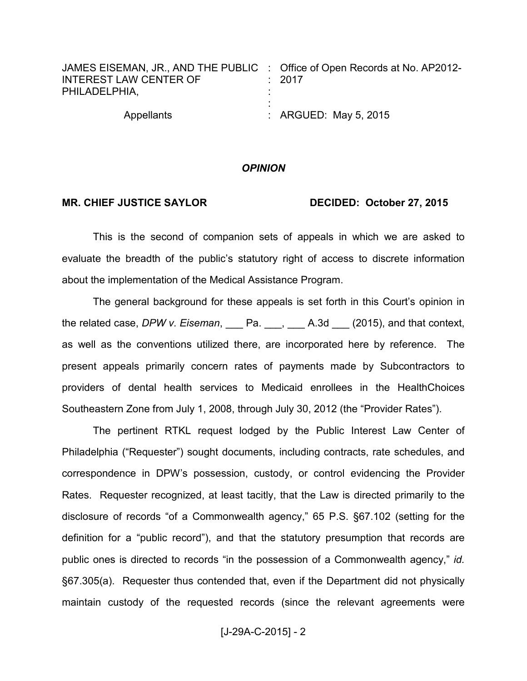| JAMES EISEMAN, JR., AND THE PUBLIC : Office of Open Records at No. AP2012-<br><b>INTEREST LAW CENTER OF</b><br>PHILADELPHIA, | $\div$ 2017                      |
|------------------------------------------------------------------------------------------------------------------------------|----------------------------------|
| Appellants                                                                                                                   | $\therefore$ ARGUED: May 5, 2015 |

### *OPINION*

### MR. CHIEF JUSTICE SAYLOR DECIDED: October 27, 2015

This is the second of companion sets of appeals in which we are asked to evaluate the breadth of the public's statutory right of access to discrete information about the implementation of the Medical Assistance Program.

The general background for these appeals is set forth in this Court's opinion in the related case, *DPW v. Eiseman*, \_\_\_ Pa. \_\_\_, \_\_\_ A.3d \_\_\_ (2015), and that context, as well as the conventions utilized there, are incorporated here by reference. The present appeals primarily concern rates of payments made by Subcontractors to providers of dental health services to Medicaid enrollees in the HealthChoices Southeastern Zone from July 1, 2008, through July 30, 2012 (the "Provider Rates").

The pertinent RTKL request lodged by the Public Interest Law Center of Philadelphia ("Requester") sought documents, including contracts, rate schedules, and correspondence in DPW's possession, custody, or control evidencing the Provider Rates. Requester recognized, at least tacitly, that the Law is directed primarily to the disclosure of records "of a Commonwealth agency," 65 P.S. §67.102 (setting for the definition for a "public record"), and that the statutory presumption that records are public ones is directed to records "in the possession of a Commonwealth agency," *id.* §67.305(a). Requester thus contended that, even if the Department did not physically maintain custody of the requested records (since the relevant agreements were

 $[J-29A-C-2015] - 2$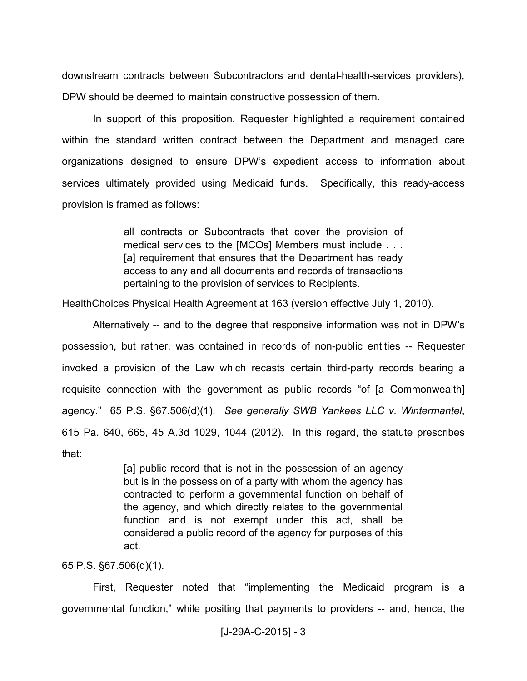downstream contracts between Subcontractors and dental-health-services providers), DPW should be deemed to maintain constructive possession of them.

In support of this proposition, Requester highlighted a requirement contained within the standard written contract between the Department and managed care organizations designed to ensure DPW's expedient access to information about services ultimately provided using Medicaid funds. Specifically, this ready-access provision is framed as follows:

> all contracts or Subcontracts that cover the provision of medical services to the [MCOs] Members must include . . . [a] requirement that ensures that the Department has ready access to any and all documents and records of transactions pertaining to the provision of services to Recipients.

HealthChoices Physical Health Agreement at 163 (version effective July 1, 2010).

Alternatively -- and to the degree that responsive information was not in DPW's possession, but rather, was contained in records of non-public entities -- Requester invoked a provision of the Law which recasts certain third-party records bearing a requisite connection with the government as public records "of [a Commonwealth] agency." 65 P.S. §67.506(d)(1). *See generally SWB Yankees LLC v. Wintermantel*, 615 Pa. 640, 665, 45 A.3d 1029, 1044 (2012). In this regard, the statute prescribes that:

> [a] public record that is not in the possession of an agency but is in the possession of a party with whom the agency has contracted to perform a governmental function on behalf of the agency, and which directly relates to the governmental function and is not exempt under this act, shall be considered a public record of the agency for purposes of this act.

65 P.S. §67.506(d)(1).

First, Requester noted that "implementing the Medicaid program is a governmental function," while positing that payments to providers -- and, hence, the

```
[J-29A-C-2015] - 3
```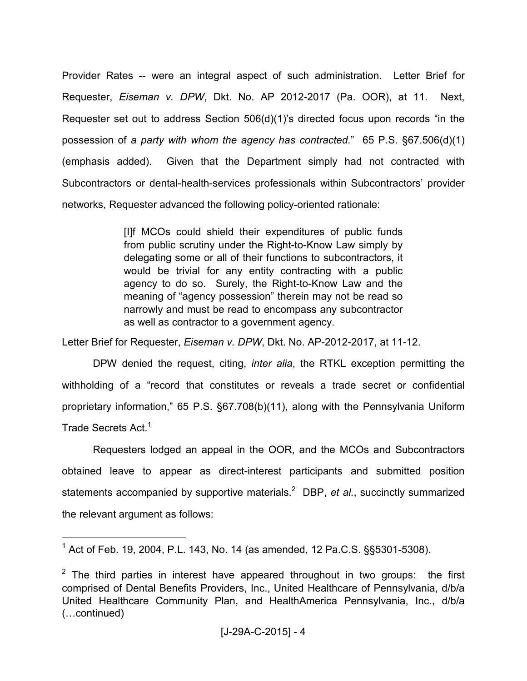Provider Rates -- were an integral aspect of such administration. Letter Brief for Requester, *Eiseman v. DPW*, Dkt. No. AP 2012-2017 (Pa. OOR), at 11. Next, Requester set out to address Section 506(d)(1)'s directed focus upon records "in the possession of *a party with whom the agency has contracted.*"65 P.S. §67.506(d)(1) (emphasis added). Given that the Department simply had not contracted with Subcontractors or dental-health-services professionals within Subcontractors' provider networks, Requester advanced the following policy-oriented rationale:

> [I]f MCOs could shield their expenditures of public funds from public scrutiny under the Right-to-Know Law simply by delegating some or all of their functions to subcontractors, it would be trivial for any entity contracting with a public agency to do so. Surely, the Right-to-Know Law and the meaning of "agency possession" therein may not be read so narrowly and must be read to encompass any subcontractor as well as contractor to a government agency.

Letter Brief for Requester, *Eiseman v. DPW*, Dkt. No. AP-2012-2017, at 11-12.

DPW denied the request, citing, *inter alia*, the RTKL exception permitting the withholding of a "record that constitutes or reveals a trade secret or confidential proprietary information," 65 P.S. §67.708(b)(11), along with the Pennsylvania Uniform Trade Secrets Act.<sup>1</sup>

Requesters lodged an appeal in the OOR, and the MCOs and Subcontractors obtained leave to appear as direct-interest participants and submitted position statements accompanied by supportive materials.<sup>2</sup> DBP, et al., succinctly summarized the relevant argument as follows:

<sup>&</sup>lt;sup>1</sup> Act of Feb. 19, 2004, P.L. 143, No. 14 (as amended, 12 Pa.C.S. §§5301-5308).

 $2$  The third parties in interest have appeared throughout in two groups: the first comprised of Dental Benefits Providers, Inc., United Healthcare of Pennsylvania, d/b/a United Healthcare Community Plan, and HealthAmerica Pennsylvania, Inc., d/b/a (Lcontinued)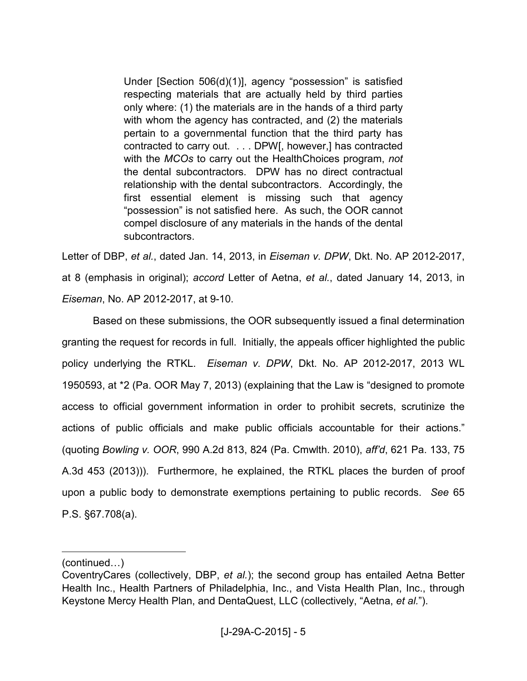Under [Section 506(d)(1)], agency "possession" is satisfied respecting materials that are actually held by third parties only where: (1) the materials are in the hands of a third party with whom the agency has contracted, and (2) the materials pertain to a governmental function that the third party has contracted to carry out. . . . DPW[, however,] has contracted with the *MCOs* to carry out the HealthChoices program, *not* the dental subcontractors. DPW has no direct contractual relationship with the dental subcontractors. Accordingly, the first essential element is missing such that agency "possession" is not satisfied here. As such, the OOR cannot compel disclosure of any materials in the hands of the dental subcontractors.

Letter of DBP, *et al.*, dated Jan. 14, 2013, in *Eiseman v. DPW*, Dkt. No. AP 2012-2017, at 8 (emphasis in original); *accord* Letter of Aetna, *et al.*, dated January 14, 2013, in *Eiseman*, No. AP 2012-2017, at 9-10.

Based on these submissions, the OOR subsequently issued a final determination granting the request for records in full. Initially, the appeals officer highlighted the public policy underlying the RTKL. *Eiseman v. DPW*, Dkt. No. AP 2012-2017, 2013 WL 1950593, at \*2 (Pa. OOR May 7, 2013) (explaining that the Law is "designed to promote access to official government information in order to prohibit secrets, scrutinize the actions of public officials and make public officials accountable for their actions." (quoting *Bowling v. OOR*, 990 A.2d 813, 824 (Pa. Cmwlth. 2010), *aff'd*, 621 Pa. 133, 75 A.3d 453 (2013))). Furthermore, he explained, the RTKL places the burden of proof upon a public body to demonstrate exemptions pertaining to public records. *See* 65 P.S. §67.708(a).

<sup>(</sup>continued...)

CoventryCares (collectively, DBP, *et al.*); the second group has entailed Aetna Better Health Inc., Health Partners of Philadelphia, Inc., and Vista Health Plan, Inc., through Keystone Mercy Health Plan, and DentaQuest, LLC (collectively, "Aetna, *et al.*").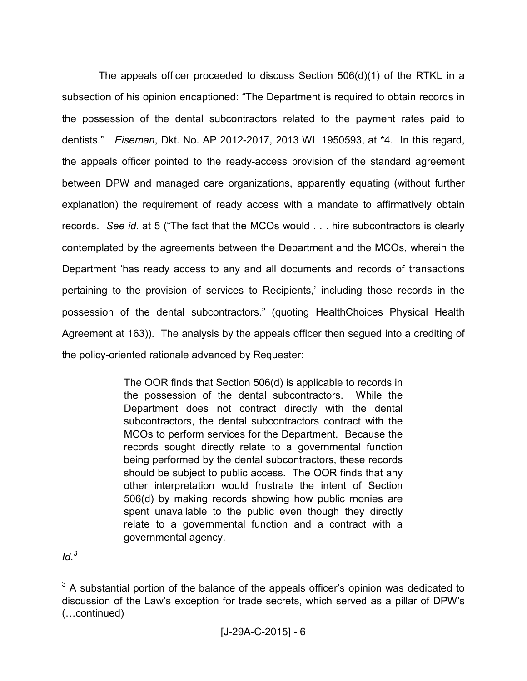The appeals officer proceeded to discuss Section 506(d)(1) of the RTKL in a subsection of his opinion encaptioned: "The Department is required to obtain records in the possession of the dental subcontractors related to the payment rates paid to dentists." *Eiseman*, Dkt. No. AP 2012-2017, 2013 WL 1950593, at \*4. In this regard, the appeals officer pointed to the ready-access provision of the standard agreement between DPW and managed care organizations, apparently equating (without further explanation) the requirement of ready access with a mandate to affirmatively obtain records. *See id.* at 5 ("The fact that the MCOs would . . . hire subcontractors is clearly contemplated by the agreements between the Department and the MCOs, wherein the Department 'has ready access to any and all documents and records of transactions pertaining to the provision of services to Recipients,' including those records in the possession of the dental subcontractors." (quoting HealthChoices Physical Health Agreement at 163)). The analysis by the appeals officer then segued into a crediting of the policy-oriented rationale advanced by Requester:

> The OOR finds that Section 506(d) is applicable to records in the possession of the dental subcontractors. While the Department does not contract directly with the dental subcontractors, the dental subcontractors contract with the MCOs to perform services for the Department. Because the records sought directly relate to a governmental function being performed by the dental subcontractors, these records should be subject to public access. The OOR finds that any other interpretation would frustrate the intent of Section 506(d) by making records showing how public monies are spent unavailable to the public even though they directly relate to a governmental function and a contract with a governmental agency.

*Id.<sup>3</sup>*

 $3$  A substantial portion of the balance of the appeals officer's opinion was dedicated to discussion of the Law's exception for trade secrets, which served as a pillar of DPW's (Lcontinued)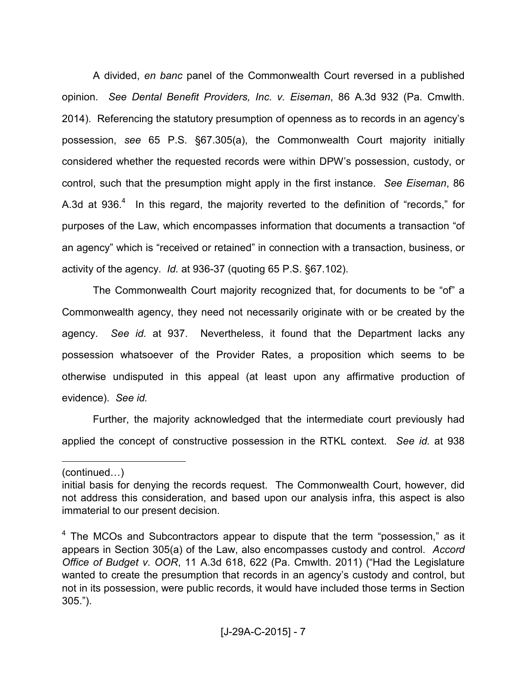A divided, *en banc* panel of the Commonwealth Court reversed in a published opinion. *See Dental Benefit Providers, Inc. v. Eiseman*, 86 A.3d 932 (Pa. Cmwlth. 2014). Referencing the statutory presumption of openness as to records in an agency's possession, *see* 65 P.S. §67.305(a), the Commonwealth Court majority initially considered whether the requested records were within DPW's possession, custody, or control, such that the presumption might apply in the first instance. *See Eiseman*, 86 A.3d at  $936<sup>4</sup>$  In this regard, the majority reverted to the definition of "records," for purposes of the Law, which encompasses information that documents a transaction "of an agency" which is "received or retained" in connection with a transaction, business, or activity of the agency. *Id.* at 936-37 (quoting 65 P.S. §67.102).

 The Commonwealth Court majority recognized that, for documents to be "of" a Commonwealth agency, they need not necessarily originate with or be created by the agency. *See id.* at 937. Nevertheless, it found that the Department lacks any possession whatsoever of the Provider Rates, a proposition which seems to be otherwise undisputed in this appeal (at least upon any affirmative production of evidence). *See id.*

 Further, the majority acknowledged that the intermediate court previously had applied the concept of constructive possession in the RTKL context. *See id.* at 938

 $(continued...)$ 

initial basis for denying the records request. The Commonwealth Court, however, did not address this consideration, and based upon our analysis infra, this aspect is also immaterial to our present decision.

 $4$  The MCOs and Subcontractors appear to dispute that the term "possession," as it appears in Section 305(a) of the Law, also encompasses custody and control. *Accord Office of Budget v. OOR*, 11 A.3d 618, 622 (Pa. Cmwlth. 2011) ("Had the Legislature wanted to create the presumption that records in an agency's custody and control, but not in its possession, were public records, it would have included those terms in Section 305.").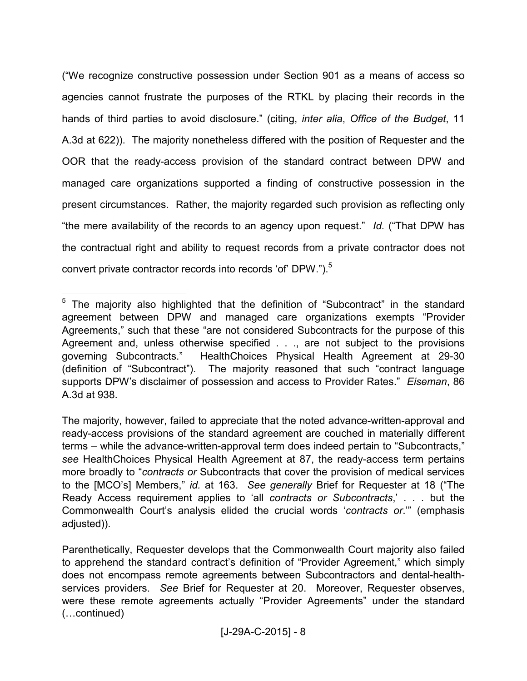("We recognize constructive possession under Section 901 as a means of access so agencies cannot frustrate the purposes of the RTKL by placing their records in the hands of third parties to avoid disclosure." (citing, *inter alia*, *Office of the Budget*, 11 A.3d at 622)). The majority nonetheless differed with the position of Requester and the OOR that the ready-access provision of the standard contract between DPW and managed care organizations supported a finding of constructive possession in the present circumstances. Rather, the majority regarded such provision as reflecting only "the mere availability of the records to an agency upon request." *Id.* ("That DPW has the contractual right and ability to request records from a private contractor does not convert private contractor records into records 'of' DPW.").<sup>5</sup>

<sup>&</sup>lt;sup>5</sup> The majority also highlighted that the definition of "Subcontract" in the standard agreement between DPW and managed care organizations exempts "Provider Agreements," such that these "are not considered Subcontracts for the purpose of this Agreement and, unless otherwise specified . . ., are not subject to the provisions governing Subcontracts." HealthChoices Physical Health Agreement at 29-30 (definition of "Subcontract"). The majority reasoned that such "contract language supports DPW's disclaimer of possession and access to Provider Rates." *Eiseman*, 86 A.3d at 938.

The majority, however, failed to appreciate that the noted advance-written-approval and ready-access provisions of the standard agreement are couched in materially different terms – while the advance-written-approval term does indeed pertain to "Subcontracts," *see* HealthChoices Physical Health Agreement at 87, the ready-access term pertains more broadly to "*contracts or* Subcontracts that cover the provision of medical services to the [MCO's] Members," *id.* at 163. *See generally* Brief for Requester at 18 ("The Ready Access requirement applies to 'all *contracts or Subcontracts*,' *. . .* but the Commonwealth Court's analysis elided the crucial words '*contracts or*.'" (emphasis adjusted)).

Parenthetically, Requester develops that the Commonwealth Court majority also failed to apprehend the standard contract's definition of "Provider Agreement," which simply does not encompass remote agreements between Subcontractors and dental-healthservices providers. *See* Brief for Requester at 20. Moreover, Requester observes, were these remote agreements actually "Provider Agreements" under the standard (Lcontinued)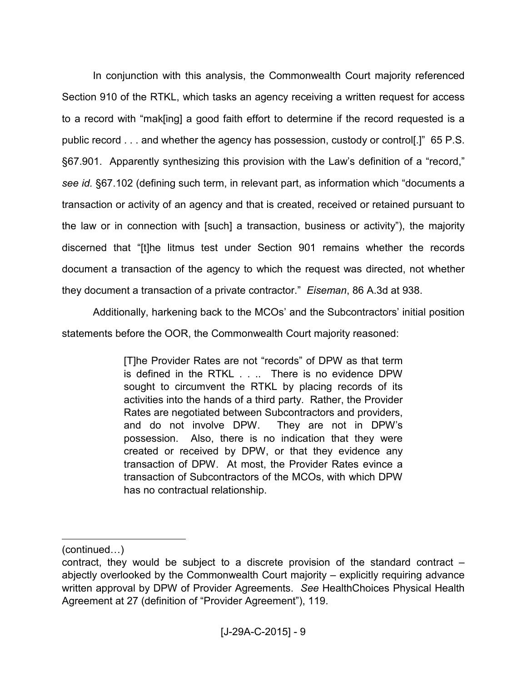In conjunction with this analysis, the Commonwealth Court majority referenced Section 910 of the RTKL, which tasks an agency receiving a written request for access to a record with "mak[ing] a good faith effort to determine if the record requested is a public record . . . and whether the agency has possession, custody or control[.]" 65 P.S. §67.901. Apparently synthesizing this provision with the Law's definition of a "record," *see id.* §67.102 (defining such term, in relevant part, as information which "documents a transaction or activity of an agency and that is created, received or retained pursuant to the law or in connection with [such] a transaction, business or activity"), the majority discerned that "[t]he litmus test under Section 901 remains whether the records document a transaction of the agency to which the request was directed, not whether they document a transaction of a private contractor." *Eiseman*, 86 A.3d at 938.

Additionally, harkening back to the MCOs' and the Subcontractors' initial position statements before the OOR, the Commonwealth Court majority reasoned:

> [T]he Provider Rates are not "records" of DPW as that term is defined in the RTKL . . .. There is no evidence DPW sought to circumvent the RTKL by placing records of its activities into the hands of a third party. Rather, the Provider Rates are negotiated between Subcontractors and providers, and do not involve DPW. They are not in DPW's possession. Also, there is no indication that they were created or received by DPW, or that they evidence any transaction of DPW. At most, the Provider Rates evince a transaction of Subcontractors of the MCOs, with which DPW has no contractual relationship.

 $(continued...)$ 

contract, they would be subject to a discrete provision of the standard contract – abjectly overlooked by the Commonwealth Court majority – explicitly requiring advance written approval by DPW of Provider Agreements. *See* HealthChoices Physical Health Agreement at 27 (definition of "Provider Agreement"), 119.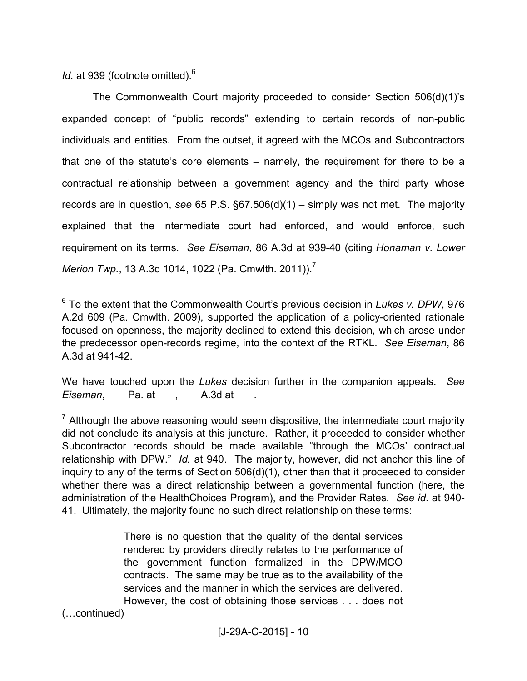*Id.* at 939 (footnote omitted).<sup>6</sup>

 The Commonwealth Court majority proceeded to consider Section 506(d)(1)'s expanded concept of "public records" extending to certain records of non-public individuals and entities. From the outset, it agreed with the MCOs and Subcontractors that one of the statute's core elements – namely, the requirement for there to be a contractual relationship between a government agency and the third party whose records are in question, *see* 65 P.S. §67.506(d)(1) – simply was not met. The majority explained that the intermediate court had enforced, and would enforce, such requirement on its terms. *See Eiseman*, 86 A.3d at 939-40 (citing *Honaman v. Lower Merion Twp.*, 13 A.3d 1014, 1022 (Pa. Cmwlth. 2011)).<sup>7</sup>

We have touched upon the *Lukes* decision further in the companion appeals. *See Eiseman*, <u>\_\_\_\_</u> Pa. at \_\_\_\_, \_\_\_\_ A.3d at \_\_\_\_.

There is no question that the quality of the dental services rendered by providers directly relates to the performance of the government function formalized in the DPW/MCO contracts. The same may be true as to the availability of the services and the manner in which the services are delivered. However, the cost of obtaining those services . . . does not

(Lcontinued)

<sup>6</sup> To the extent that the Commonwealth Court's previous decision in *Lukes v. DPW*, 976 A.2d 609 (Pa. Cmwlth. 2009), supported the application of a policy-oriented rationale focused on openness, the majority declined to extend this decision, which arose under the predecessor open-records regime, into the context of the RTKL. *See Eiseman*, 86 A.3d at 941-42.

 $<sup>7</sup>$  Although the above reasoning would seem dispositive, the intermediate court majority</sup> did not conclude its analysis at this juncture. Rather, it proceeded to consider whether Subcontractor records should be made available "through the MCOs' contractual relationship with DPW." *Id.* at 940. The majority, however, did not anchor this line of inquiry to any of the terms of Section 506(d)(1), other than that it proceeded to consider whether there was a direct relationship between a governmental function (here, the administration of the HealthChoices Program), and the Provider Rates. *See id.* at 940- 41. Ultimately, the majority found no such direct relationship on these terms: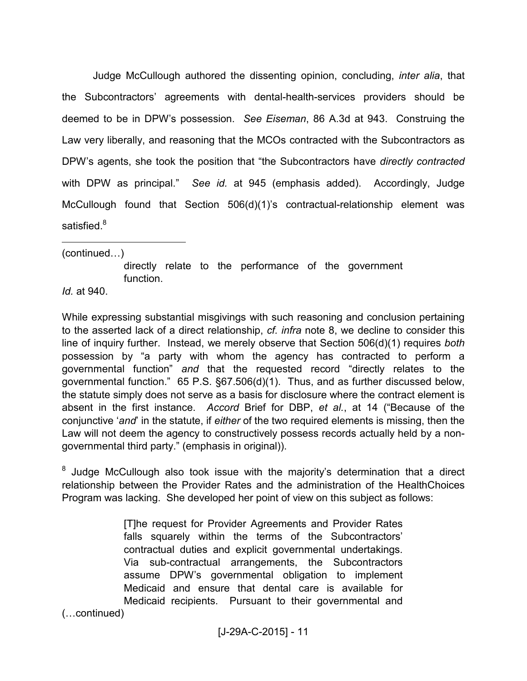Judge McCullough authored the dissenting opinion, concluding, *inter alia*, that the Subcontractors' agreements with dental-health-services providers should be deemed to be in DPW's possession. *See Eiseman*, 86 A.3d at 943. Construing the Law very liberally, and reasoning that the MCOs contracted with the Subcontractors as DPW's agents, she took the position that "the Subcontractors have *directly contracted* with DPW as principal." *See id.* at 945 (emphasis added). Accordingly, Judge McCullough found that Section 506(d)(1)'s contractual-relationship element was satisfied. $8$ 

 $\overline{a}$  $(continued...)$ 

> directly relate to the performance of the government function.

*Id.* at 940.

While expressing substantial misgivings with such reasoning and conclusion pertaining to the asserted lack of a direct relationship, *cf. infra* note 8, we decline to consider this line of inquiry further. Instead, we merely observe that Section 506(d)(1) requires *both* possession by "a party with whom the agency has contracted to perform a governmental function" *and* that the requested record "directly relates to the governmental function." 65 P.S. §67.506(d)(1). Thus, and as further discussed below, the statute simply does not serve as a basis for disclosure where the contract element is absent in the first instance. *Accord* Brief for DBP, *et al.*, at 14 ("Because of the conjunctive '*and*' in the statute, if *either* of the two required elements is missing, then the Law will not deem the agency to constructively possess records actually held by a nongovernmental third party." (emphasis in original)).

 $8$  Judge McCullough also took issue with the majority's determination that a direct relationship between the Provider Rates and the administration of the HealthChoices Program was lacking. She developed her point of view on this subject as follows:

> [T]he request for Provider Agreements and Provider Rates falls squarely within the terms of the Subcontractors' contractual duties and explicit governmental undertakings. Via sub-contractual arrangements, the Subcontractors assume DPW's governmental obligation to implement Medicaid and ensure that dental care is available for Medicaid recipients. Pursuant to their governmental and

(Lcontinued)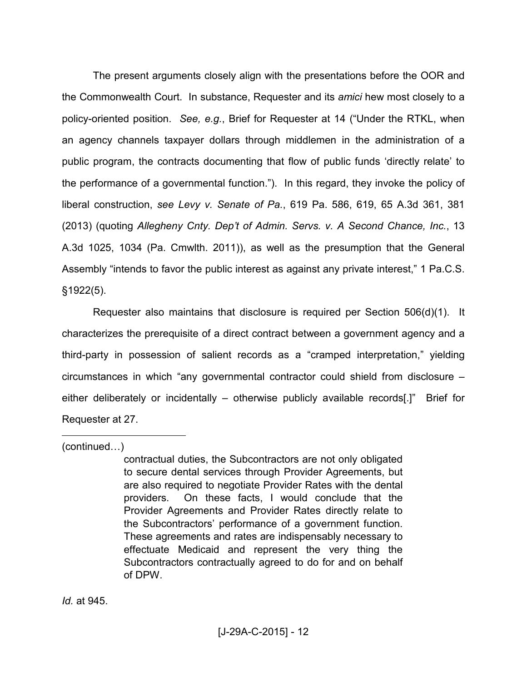The present arguments closely align with the presentations before the OOR and the Commonwealth Court. In substance, Requester and its *amici* hew most closely to a policy-oriented position. *See, e.g.*, Brief for Requester at 14 ("Under the RTKL, when an agency channels taxpayer dollars through middlemen in the administration of a public program, the contracts documenting that flow of public funds 'directly relate' to the performance of a governmental function."). In this regard, they invoke the policy of liberal construction, *see Levy v. Senate of Pa.*, 619 Pa. 586, 619, 65 A.3d 361, 381 (2013) (quoting *Allegheny Cnty. Dep't of Admin. Servs. v. A Second Chance, Inc.*, 13 A.3d 1025, 1034 (Pa. Cmwlth. 2011)), as well as the presumption that the General Assembly "intends to favor the public interest as against any private interest," 1 Pa.C.S. §1922(5).

 Requester also maintains that disclosure is required per Section 506(d)(1). It characterizes the prerequisite of a direct contract between a government agency and a third-party in possession of salient records as a "cramped interpretation," yielding circumstances in which "any governmental contractor could shield from disclosure – either deliberately or incidentally – otherwise publicly available records[.]" Brief for Requester at 27.

 $(continued...)$ 

 $\overline{a}$ 

contractual duties, the Subcontractors are not only obligated to secure dental services through Provider Agreements, but are also required to negotiate Provider Rates with the dental providers. On these facts, I would conclude that the Provider Agreements and Provider Rates directly relate to the Subcontractors' performance of a government function. These agreements and rates are indispensably necessary to effectuate Medicaid and represent the very thing the Subcontractors contractually agreed to do for and on behalf of DPW.

*Id.* at 945.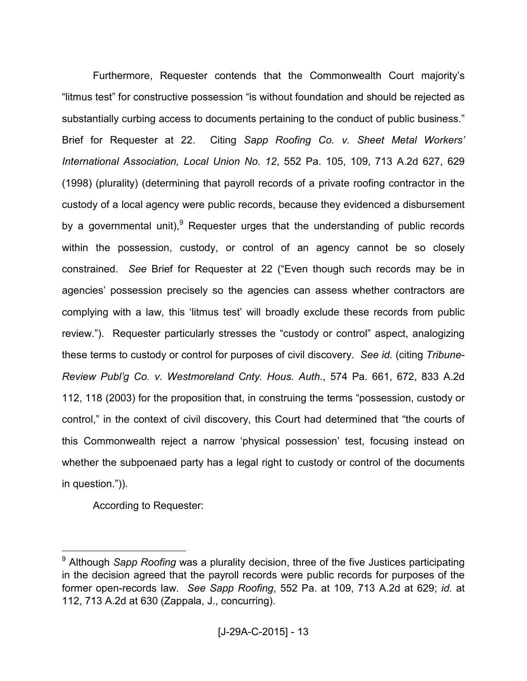Furthermore, Requester contends that the Commonwealth Court majority's "litmus test" for constructive possession "is without foundation and should be rejected as substantially curbing access to documents pertaining to the conduct of public business." Brief for Requester at 22. Citing *Sapp Roofing Co. v. Sheet Metal Workers' International Association, Local Union No. 12*, 552 Pa. 105, 109, 713 A.2d 627, 629 (1998) (plurality) (determining that payroll records of a private roofing contractor in the custody of a local agency were public records, because they evidenced a disbursement by a governmental unit),<sup>9</sup> Requester urges that the understanding of public records within the possession, custody, or control of an agency cannot be so closely constrained. *See* Brief for Requester at 22 ("Even though such records may be in agencies' possession precisely so the agencies can assess whether contractors are complying with a law, this 'litmus test' will broadly exclude these records from public review."). Requester particularly stresses the "custody or control" aspect, analogizing these terms to custody or control for purposes of civil discovery. *See id.* (citing *Tribune-Review Publ'g Co. v. Westmoreland Cnty. Hous. Auth.*, 574 Pa. 661, 672, 833 A.2d 112, 118 (2003) for the proposition that, in construing the terms "possession, custody or control," in the context of civil discovery, this Court had determined that "the courts of this Commonwealth reject a narrow 'physical possession' test, focusing instead on whether the subpoenaed party has a legal right to custody or control of the documents in question.")).

According to Requester:

<sup>&</sup>lt;sup>9</sup> Although *Sapp Roofing* was a plurality decision, three of the five Justices participating in the decision agreed that the payroll records were public records for purposes of the former open-records law. *See Sapp Roofing*, 552 Pa. at 109, 713 A.2d at 629; *id.* at 112, 713 A.2d at 630 (Zappala, J., concurring).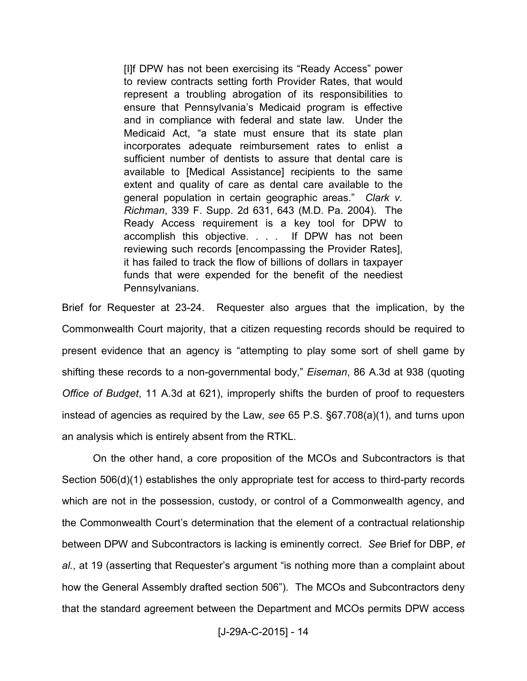[I]f DPW has not been exercising its "Ready Access" power to review contracts setting forth Provider Rates, that would represent a troubling abrogation of its responsibilities to ensure that Pennsylvania's Medicaid program is effective and in compliance with federal and state law. Under the Medicaid Act, "a state must ensure that its state plan incorporates adequate reimbursement rates to enlist a sufficient number of dentists to assure that dental care is available to [Medical Assistance] recipients to the same extent and quality of care as dental care available to the general population in certain geographic areas." *Clark v. Richman*, 339 F. Supp. 2d 631, 643 (M.D. Pa. 2004). The Ready Access requirement is a key tool for DPW to accomplish this objective. . . . If DPW has not been reviewing such records [encompassing the Provider Rates], it has failed to track the flow of billions of dollars in taxpayer funds that were expended for the benefit of the neediest Pennsylvanians.

Brief for Requester at 23-24. Requester also argues that the implication, by the Commonwealth Court majority, that a citizen requesting records should be required to present evidence that an agency is "attempting to play some sort of shell game by shifting these records to a non-governmental body," *Eiseman*, 86 A.3d at 938 (quoting *Office of Budget*, 11 A.3d at 621), improperly shifts the burden of proof to requesters instead of agencies as required by the Law, *see* 65 P.S. §67.708(a)(1), and turns upon an analysis which is entirely absent from the RTKL.

 On the other hand, a core proposition of the MCOs and Subcontractors is that Section 506(d)(1) establishes the only appropriate test for access to third-party records which are not in the possession, custody, or control of a Commonwealth agency, and the Commonwealth Court's determination that the element of a contractual relationship between DPW and Subcontractors is lacking is eminently correct. *See* Brief for DBP, *et al.*, at 19 (asserting that Requester's argument "is nothing more than a complaint about how the General Assembly drafted section 506"). The MCOs and Subcontractors deny that the standard agreement between the Department and MCOs permits DPW access

[J-29A-C-2015] - 14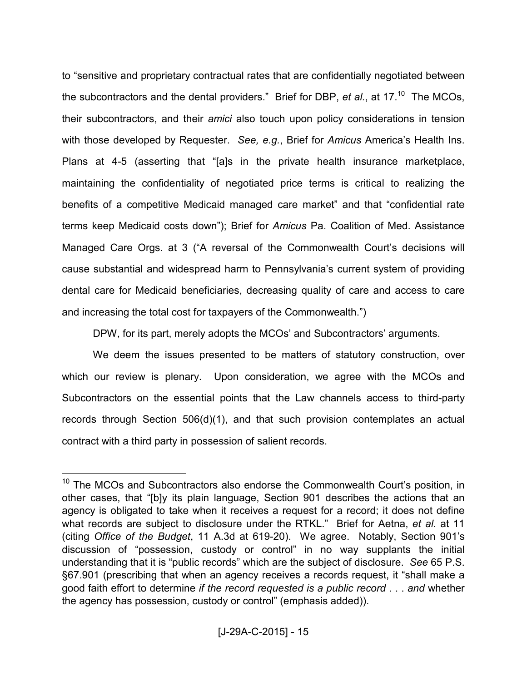to "sensitive and proprietary contractual rates that are confidentially negotiated between the subcontractors and the dental providers." Brief for DBP, *et al.*, at 17.<sup>10</sup> The MCOs, their subcontractors, and their *amici* also touch upon policy considerations in tension with those developed by Requester. *See, e.g.*, Brief for *Amicus* America's Health Ins. Plans at 4-5 (asserting that "[a]s in the private health insurance marketplace, maintaining the confidentiality of negotiated price terms is critical to realizing the benefits of a competitive Medicaid managed care market" and that "confidential rate terms keep Medicaid costs down"); Brief for *Amicus* Pa. Coalition of Med. Assistance Managed Care Orgs. at 3 ("A reversal of the Commonwealth Court's decisions will cause substantial and widespread harm to Pennsylvania's current system of providing dental care for Medicaid beneficiaries, decreasing quality of care and access to care and increasing the total cost for taxpayers of the Commonwealth.")

DPW, for its part, merely adopts the MCOs' and Subcontractors' arguments.

 We deem the issues presented to be matters of statutory construction, over which our review is plenary. Upon consideration, we agree with the MCOs and Subcontractors on the essential points that the Law channels access to third-party records through Section 506(d)(1), and that such provision contemplates an actual contract with a third party in possession of salient records.

-

<sup>&</sup>lt;sup>10</sup> The MCOs and Subcontractors also endorse the Commonwealth Court's position, in other cases, that "[b]y its plain language, Section 901 describes the actions that an agency is obligated to take when it receives a request for a record; it does not define what records are subject to disclosure under the RTKL." Brief for Aetna, *et al.* at 11 (citing *Office of the Budget*, 11 A.3d at 619-20). We agree. Notably, Section 901's discussion of "possession, custody or control" in no way supplants the initial understanding that it is "public records" which are the subject of disclosure. *See* 65 P.S. §67.901 (prescribing that when an agency receives a records request, it "shall make a good faith effort to determine *if the record requested is a public record* . . . *and* whether the agency has possession, custody or control" (emphasis added)).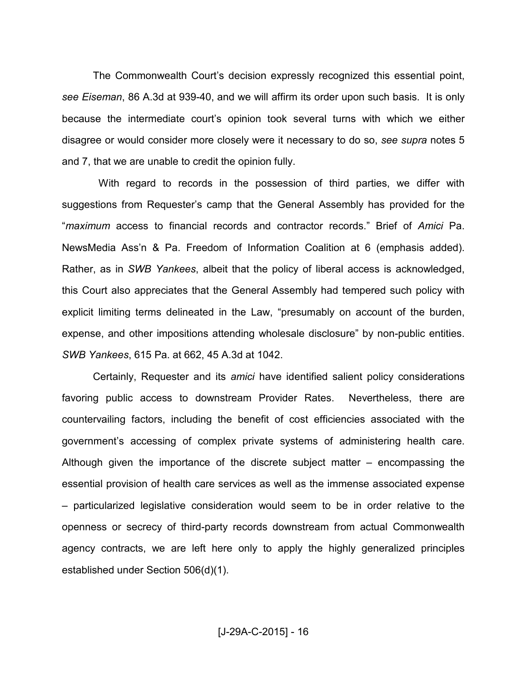The Commonwealth Court's decision expressly recognized this essential point, *see Eiseman*, 86 A.3d at 939-40, and we will affirm its order upon such basis. It is only because the intermediate court's opinion took several turns with which we either disagree or would consider more closely were it necessary to do so, *see supra* notes 5 and 7, that we are unable to credit the opinion fully.

 With regard to records in the possession of third parties, we differ with suggestions from Requester's camp that the General Assembly has provided for the "*maximum* access to financial records and contractor records." Brief of *Amici* Pa. NewsMedia Ass'n & Pa. Freedom of Information Coalition at 6 (emphasis added). Rather, as in *SWB Yankees*, albeit that the policy of liberal access is acknowledged, this Court also appreciates that the General Assembly had tempered such policy with explicit limiting terms delineated in the Law, "presumably on account of the burden, expense, and other impositions attending wholesale disclosure" by non-public entities. *SWB Yankees*, 615 Pa. at 662, 45 A.3d at 1042.

 Certainly, Requester and its *amici* have identified salient policy considerations favoring public access to downstream Provider Rates. Nevertheless, there are countervailing factors, including the benefit of cost efficiencies associated with the government's accessing of complex private systems of administering health care. Although given the importance of the discrete subject matter – encompassing the essential provision of health care services as well as the immense associated expense – particularized legislative consideration would seem to be in order relative to the openness or secrecy of third-party records downstream from actual Commonwealth agency contracts, we are left here only to apply the highly generalized principles established under Section 506(d)(1).